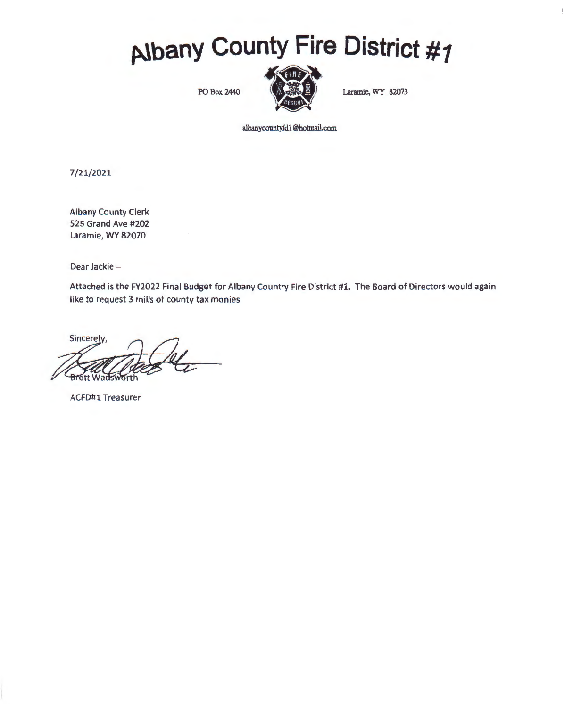# **p.lbany County Fire District #1**



albanycountyfdl @hotmail.com

7/21/2021

Albany County Clerk 525 Grand Ave #202 Laramie, WY 82070

Dear Jackie-

Attached is the FY2022 Final Budget for Albany Country Fire District #1. The Board of Directors would again like to request 3 mills of county tax monies.

Sincerely **Brett Wadsy** 

ACFD#1 Treasurer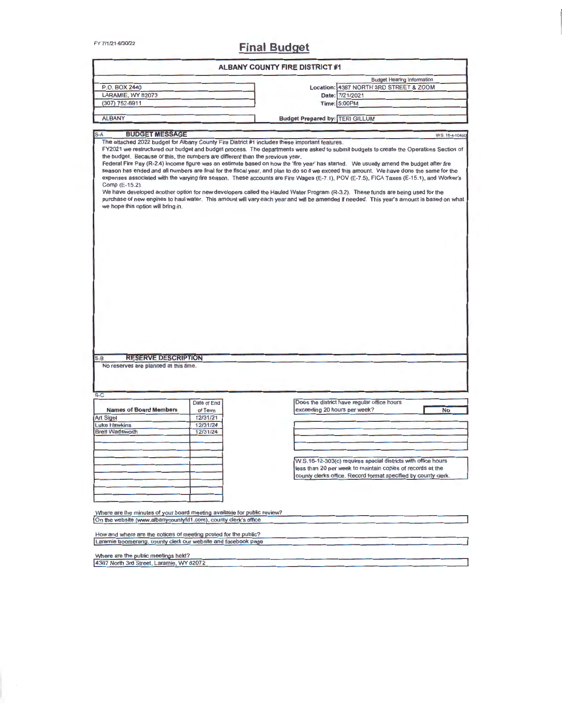# FY 7/1/21-6/30/22 **Final Budget**

|                                                                                                                                        |                                                            | <b>ALBANY COUNTY FIRE DISTRICT #1</b>                                                                                                                                                                                                                                                                                                                                                                                                                                                                                                                                                                                                                                                                                                                                                                                                                                                                                                                       |
|----------------------------------------------------------------------------------------------------------------------------------------|------------------------------------------------------------|-------------------------------------------------------------------------------------------------------------------------------------------------------------------------------------------------------------------------------------------------------------------------------------------------------------------------------------------------------------------------------------------------------------------------------------------------------------------------------------------------------------------------------------------------------------------------------------------------------------------------------------------------------------------------------------------------------------------------------------------------------------------------------------------------------------------------------------------------------------------------------------------------------------------------------------------------------------|
|                                                                                                                                        |                                                            | <b>Budget Hearing Information</b>                                                                                                                                                                                                                                                                                                                                                                                                                                                                                                                                                                                                                                                                                                                                                                                                                                                                                                                           |
| P.O. BOX 2440                                                                                                                          |                                                            | Location: 4387 NORTH 3RD STREET & ZOOM                                                                                                                                                                                                                                                                                                                                                                                                                                                                                                                                                                                                                                                                                                                                                                                                                                                                                                                      |
| LARAMIE, WY 82073                                                                                                                      |                                                            | Date: 7/21/2021                                                                                                                                                                                                                                                                                                                                                                                                                                                                                                                                                                                                                                                                                                                                                                                                                                                                                                                                             |
| $(307)$ 752-6911                                                                                                                       |                                                            | Time: 5:00PM                                                                                                                                                                                                                                                                                                                                                                                                                                                                                                                                                                                                                                                                                                                                                                                                                                                                                                                                                |
| <b>ALBANY</b>                                                                                                                          |                                                            | <b>Budget Prepared by: TERI GILLUM</b>                                                                                                                                                                                                                                                                                                                                                                                                                                                                                                                                                                                                                                                                                                                                                                                                                                                                                                                      |
| <b>BUDGET MESSAGE</b><br>$S-A$                                                                                                         |                                                            | W S. 16-4-104(d)                                                                                                                                                                                                                                                                                                                                                                                                                                                                                                                                                                                                                                                                                                                                                                                                                                                                                                                                            |
| the budget. Because of this, the numbers are different than the previous year.<br>Comp (E-15.2).<br>we hope this option will bring in. |                                                            | The attached 2022 budget for Albany County Fire District #1 includes these important features.<br>FY2021 we restructured our budget and budget process. The departments were asked to submit budgets to create the Operations Section of<br>Federal Fire Pay (R-2.4) income figure was an estimate based on how the 'fire year' has started. We usually amend the budget after fire<br>season has ended and all numbers are final for the fiscal year, and plan to do so if we exceed this amount. We have done the same for the<br>expenses associated with the varying fire season. These accounts are Fire Wages (E-7.1), POV (E-7.5), FICA Taxes (E-15.1), and Worker's<br>We have developed another option for new developers called the Hauled Water Program (R-3.2). These funds are being used for the<br>purchase of new engines to haul water. This amount will vary each year and will be amended if needed. This year's amount is based on what |
|                                                                                                                                        |                                                            |                                                                                                                                                                                                                                                                                                                                                                                                                                                                                                                                                                                                                                                                                                                                                                                                                                                                                                                                                             |
|                                                                                                                                        |                                                            |                                                                                                                                                                                                                                                                                                                                                                                                                                                                                                                                                                                                                                                                                                                                                                                                                                                                                                                                                             |
| <b>RESERVE DESCRIPTION</b><br>No reserves are planned at this time.                                                                    |                                                            |                                                                                                                                                                                                                                                                                                                                                                                                                                                                                                                                                                                                                                                                                                                                                                                                                                                                                                                                                             |
| $S-B$<br>$S-C$<br><b>Names of Board Members</b><br><b>Art Sigel</b><br><b>Luke Hawkins</b><br><b>Brett Wadsworth</b>                   | Date of End<br>of Term<br>12/31/21<br>12/31/24<br>12/31/24 | Does the district have regular office hours<br>exceeding 20 hours per week?<br><b>No</b>                                                                                                                                                                                                                                                                                                                                                                                                                                                                                                                                                                                                                                                                                                                                                                                                                                                                    |

How and where are the notices of meeting posted for the public?<br>Laramie boomerang, county clerk our website and facebook page

Where are the public meetings held?<br>4387 North 3rd Street, Laramie, WY 82072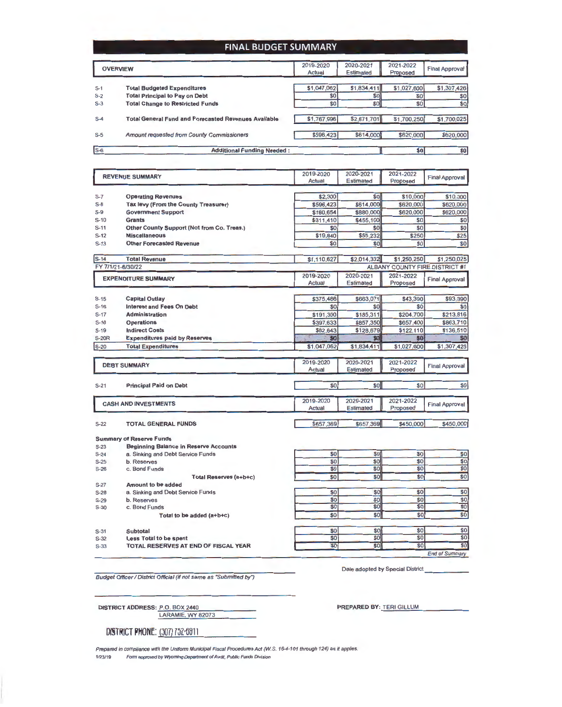#### **FINAL BUDGET SUMMARY**

|       | <b>OVERVIEW</b>                                             | 2019-2020<br>Actual | 2020-2021<br><b>Estimated</b> | 2021-2022<br>Proposed | <b>Final Approval</b> |
|-------|-------------------------------------------------------------|---------------------|-------------------------------|-----------------------|-----------------------|
| $S-1$ | <b>Total Budgeted Expenditures</b>                          | \$1,047,062         | \$1,834,411                   | \$1,027,600           | \$1,307,426           |
| $S-2$ | <b>Total Principal to Pay on Debt</b>                       | \$0                 | <b>SO</b>                     | \$0                   | \$0                   |
| $S-3$ | <b>Total Change to Restricted Funds</b>                     | \$0]                | \$O]                          | \$0                   | \$0                   |
| $S-4$ | <b>Total General Fund and Forecasted Revenues Available</b> | \$1,767,996         | \$2,671,701                   | \$1,700,250           | \$1,700,025           |
| $S-5$ | Amount requested from County Commissioners                  | \$596,423           | \$614,000                     | \$620,000             | \$620,000             |
| $s-6$ | <b>Additional Funding Needed:</b>                           |                     |                               | \$0]                  | \$0                   |

|              | <b>REVENUE SUMMARY</b>                       | 2019-2020        | 2020-2021        | 2021-2022        | <b>Final Approval</b>                 |
|--------------|----------------------------------------------|------------------|------------------|------------------|---------------------------------------|
|              |                                              | Actual           | <b>Estimated</b> | Proposed         |                                       |
|              |                                              |                  |                  |                  |                                       |
| $S-7$        | <b>Operating Revenues</b>                    | \$2,300          | \$0              | \$10,000         | \$10,000                              |
| $S-B$        | Tax levy (From the County Treasurer)         | \$596,423        | \$614,000        | \$620,000        | \$620,000                             |
| S-9          | <b>Government Support</b>                    | \$180,654        | \$880,000        | \$620,000        | \$620,000                             |
| $S-10$       | <b>Grants</b>                                | \$311,410        | \$455,100        | \$0              | \$0                                   |
| $S-11$       | Other County Support (Not from Co. Treas.)   | \$0              | \$0              | \$0              | \$0                                   |
| $S-12$       | <b>Miscellaneous</b>                         | \$19,840         | \$65,232         | \$250            | \$25                                  |
| $S-13$       | <b>Other Forecasted Revenue</b>              | \$0              | \$0              | \$0]             | \$0                                   |
| $S-14$       | <b>Total Revenue</b>                         | \$1,110,627      | \$2,014,332      | \$1,250,250      | \$1,250,025                           |
|              | FY 7/1/21-6/30/22                            |                  |                  |                  | <b>ALBANY COUNTY FIRE DISTRICT #1</b> |
|              | <b>EXPENDITURE SUMMARY</b>                   | 2019-2020        | 2020-2021        | 2021-2022        |                                       |
|              |                                              | <b>Actual</b>    | Estimated        | Proposed         | <b>Final Approval</b>                 |
|              |                                              |                  |                  |                  |                                       |
| $S-15$       | <b>Capital Outlay</b>                        | \$375,486        | \$663,071        | \$43,390         | \$93,390                              |
| $S-16$       | <b>Interest and Fees On Debt</b>             | \$0              | \$0              | \$0              | \$0                                   |
| $S-17$       | <b>Administration</b>                        | \$191,300        | \$185,311        | \$204,700        | \$213,816                             |
| $S-18$       | <b>Operations</b>                            | \$397,633        | \$857,350        | \$657,400        | \$863,710                             |
| $S-19$       | <b>Indirect Costs</b>                        | \$82.643         | \$128,679        | \$122,110        | \$136,510                             |
| <b>S-20R</b> | <b>Expenditures paid by Reserves</b>         | \$0              | \$0              | 50               | \$0                                   |
| $S-20$       | <b>Total Expenditures</b>                    | \$1,047,062      | \$1,834,411      | \$1,027,600      | \$1,307,426                           |
|              |                                              |                  |                  |                  |                                       |
|              | <b>DEBT SUMMARY</b>                          | 2019-2020        | 2020-2021        | 2021-2022        |                                       |
|              |                                              | Actual           | Estimated        | Proposed         | <b>Final Approval</b>                 |
|              |                                              |                  |                  |                  |                                       |
| $S-21$       | <b>Principal Paid on Debt</b>                | \$0              | \$0              | \$0              | \$0                                   |
|              |                                              | 2019-2020        | 2020-2021        | 2021-2022        |                                       |
|              | <b>CASH AND INVESTMENTS</b>                  | <b>Actual</b>    | Estimated        | Proposed         | <b>Final Approval</b>                 |
|              |                                              |                  |                  |                  |                                       |
| $S-22$       | <b>TOTAL GENERAL FUNDS</b>                   | \$657,369        | \$657,369        | \$450,000        | \$450,000                             |
|              | <b>Summary of Reserve Funds</b>              |                  |                  |                  |                                       |
| $S-23$       | <b>Beginning Balance in Reserve Accounts</b> |                  |                  |                  |                                       |
| $S-24$       | a. Sinking and Debt Service Funds            | \$0              | \$0              | \$0              | \$0                                   |
| $S-25$       | b. Reserves                                  | \$0              | \$0              | \$0              | \$0                                   |
| $S-26$       | c. Bond Funds                                | \$0              | \$0              | \$0              | \$0                                   |
|              | Total Reserves (a+b+c)                       | \$0              | \$0              | \$0              | \$0                                   |
| $S-27$       | <b>Amount to be added</b>                    |                  |                  |                  |                                       |
| $S-28$       | a. Sinking and Debt Service Funds            | \$0              | \$0              | \$0              | \$0                                   |
| $S-29$       | b. Reserves                                  | \$0              | \$0              | \$0              | $\overline{50}$                       |
| $S-30$       | c. Bond Funds                                | \$0              | \$0              | $\overline{\$0}$ | \$0                                   |
|              | Total to be added (a+b+c)                    | $\overline{\$0}$ | \$0              | \$0              | $\overline{\$0}$                      |
|              |                                              | \$0              | \$0              | \$0              | \$0                                   |
| $S-31$       | Subtotal                                     | \$0              | \$0              | \$0              | \$0                                   |
| $S-32$       | Less Total to be spent                       | \$0              | \$0              | \$0              | \$0                                   |
| $S-33$       | TOTAL RESERVES AT END OF FISCAL YEAR         |                  |                  |                  |                                       |

Budget Officer / District Official (if not same as "Submitted by")

Date adopted by Special District

**End of Summary** 

| DISTRICT ADDRESS: P.O. BOX 2440 |                   |  |
|---------------------------------|-------------------|--|
|                                 | LARAMIE, WY 82073 |  |

DISTRICT **PHONE:** (307) 752-6911

PREPARED BY: TERI GILLUM

Prepared in compliance with the Uniform Municipal Fiscal Procedures Act (W.S. 16-4-101 through 124) as it applies. **1123119 Form approved by WYoming Department of Audit, Public Funds Division**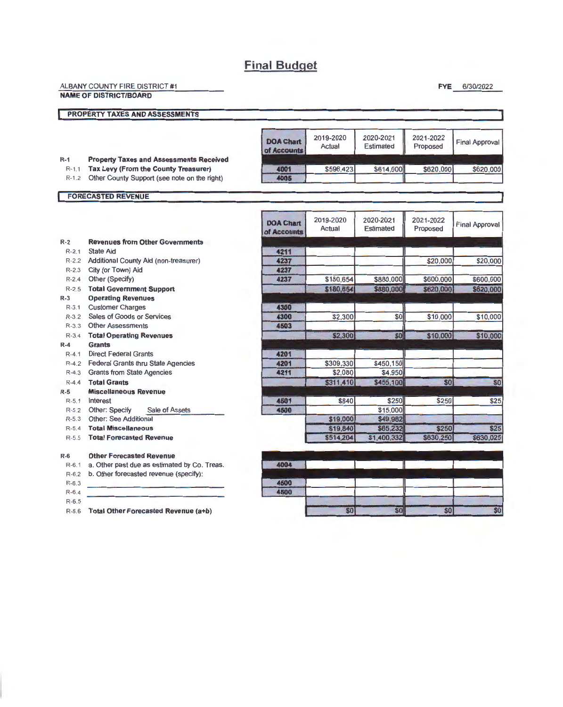## **Final Budget**

| ALBANY COUNTY FIRE DISTRICT #1 |  |
|--------------------------------|--|
| <b>NAME OF DISTRICT/BOARD</b>  |  |
| PROPERTY TAXES AND ASSESSMENTS |  |
|                                |  |

#### R-1 **Property Taxes and Assessments Received**

R-1 .1 **Tax Levy (From the County Treasurer)** 

R-1.2 Other County Support (see note on the right)

| <b>FORECASTED REVENUE</b> |  |  |
|---------------------------|--|--|

г

| <b>DOA Chart</b><br>of Accounts | 2019-2020<br>Actual | 2020-2021<br><b>Estimated</b> | 2021-2022<br>Proposed | Final Approval |
|---------------------------------|---------------------|-------------------------------|-----------------------|----------------|
| 4001                            | \$596,423           | \$614,000                     | \$620,000             | \$620,000      |
| 4005                            |                     |                               |                       |                |

**FYE** 6/30/2022

 $$0$ 

\$0

\$0

|           |                                              | <b>DOA Chart</b><br>of Accounts | 2019-2020<br>Actual | 2020-2021<br><b>Estimated</b> | 2021-2022<br>Proposed | <b>Final Approval</b> |
|-----------|----------------------------------------------|---------------------------------|---------------------|-------------------------------|-----------------------|-----------------------|
| $R-2$     | <b>Revenues from Other Governments</b>       |                                 |                     |                               |                       |                       |
| $R - 2.1$ | <b>State Aid</b>                             | 4211                            |                     |                               |                       |                       |
| $R-2.2$   | Additional County Aid (non-treasurer)        | 4237                            |                     |                               | \$20,000              | \$20,000              |
| $R - 2.3$ | City (or Town) Aid                           | 4237                            |                     |                               |                       |                       |
| $R-2.4$   | Other (Specify)                              | 4237                            | \$180,654           | \$880,000                     | \$600,000             | \$600,000             |
| $R-2.5$   | <b>Total Government Support</b>              |                                 | \$180,654           | \$880,000                     | \$620,000             | \$620,000             |
| $R-3$     | <b>Operating Revenues</b>                    |                                 |                     |                               |                       |                       |
| $R - 3.1$ | <b>Customer Charges</b>                      | 4300                            |                     |                               |                       |                       |
| $R-3.2$   | Sales of Goods or Services                   | 4300                            | \$2,300             | \$0                           | \$10,000              | \$10,000              |
| $R - 3.3$ | <b>Other Assessments</b>                     | 4503                            |                     |                               |                       |                       |
| $R - 3.4$ | <b>Total Operating Revenues</b>              |                                 | \$2,300             | SO                            | \$10,000              | \$10,000              |
| $R-4$     | <b>Grants</b>                                |                                 |                     |                               |                       |                       |
| $R - 4.1$ | <b>Direct Federal Grants</b>                 | 4201                            |                     |                               |                       |                       |
| $R-4.2$   | <b>Federal Grants thru State Agencies</b>    | 4201                            | \$309,330           | \$450,150                     |                       |                       |
| $R - 4.3$ | <b>Grants from State Agencies</b>            | 4211                            | \$2,080             | \$4,950                       |                       |                       |
| $R - 4.4$ | <b>Total Grants</b>                          |                                 | \$311,410           | \$455,100                     | \$0                   | \$ <sub>6</sub>       |
| $R-5$     | <b>Miscellaneous Revenue</b>                 |                                 |                     |                               |                       |                       |
| $R - 5.1$ | Interest                                     | 4501                            | \$840               | \$250                         | \$250                 | \$2!                  |
| $R-5.2$   | Other: Specify<br>Sale of Assets             | 4500                            |                     | \$15,000                      |                       |                       |
| $R-5.3$   | Other: See Additional                        |                                 | \$19,000            | \$49,982                      |                       |                       |
| $R-5.4$   | <b>Total Miscellaneous</b>                   |                                 | \$19,840            | \$65,232                      | <b>\$250</b>          | \$2                   |
| $R-5.5$   | <b>Total Forecasted Revenue</b>              |                                 | \$514,204           | \$1,400,332                   | \$630,250             | \$630,02              |
| $R-6$     | <b>Other Forecasted Revenue</b>              |                                 |                     |                               |                       |                       |
| $R-6.1$   | a. Other past due as estimated by Co. Treas. | 4004                            |                     |                               |                       |                       |
| $R - 6.2$ | b. Other forecasted revenue (specify):       |                                 |                     |                               |                       |                       |
| $R-6.3$   |                                              | 4500                            |                     |                               |                       |                       |

4500

\$0

R-6.4 R-6.5

R-6.6 **Total Other Forecasted Revenue {a+b)**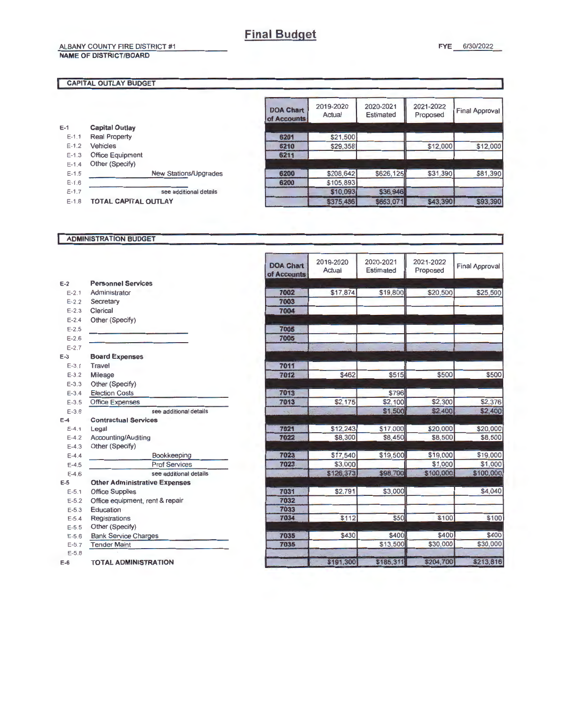### ALBANY COUNTY FIRE DISTRICT #1

#### NAME OF DISTRICT/BOARD

#### CAPITAL OUTLAY BUDGET

ſ

| E-1       | <b>Capital Outlay</b>       |                              |
|-----------|-----------------------------|------------------------------|
| $E-1.1$   | <b>Real Property</b>        |                              |
| $E-1.2$   | Vehicles                    |                              |
| $E-1.3$   | <b>Office Equipment</b>     |                              |
| $E - 1.4$ | Other (Specify)             |                              |
| $F-1.5$   |                             | <b>New Stations/Upgrades</b> |
| $E - 1.6$ |                             |                              |
| $E-1.7$   |                             | see additional details       |
| $F-1.8$   | <b>TOTAL CAPITAL OUTLAY</b> |                              |

| <b>DOA Chart</b><br>of Accounts | 2019-2020<br>Actual | 2020-2021<br><b>Estimated</b> | 2021-2022<br>Proposed | <b>Final Approval</b> |
|---------------------------------|---------------------|-------------------------------|-----------------------|-----------------------|
|                                 |                     |                               |                       |                       |
| 6201                            | \$21,500            |                               |                       |                       |
| 6210                            | \$29,358            |                               | \$12,000              | \$12,000              |
| 6211                            |                     |                               |                       |                       |
| 6200                            | \$208,642           | \$626,125                     | \$31,390              | \$81,390              |
| 6200                            | \$105,893           |                               |                       |                       |
|                                 | \$10,093            | \$36,946                      |                       |                       |
|                                 | \$375,486           | \$663,071                     | \$43,390              | \$93,390              |

#### ADMINISTRATION BUDGET

|           |                                      | <b>DOA Chart</b><br>of Accounts | 2019-2020<br>Actual | 2020-2021<br><b>Estimated</b> | 2021-2022<br>Proposed | <b>Final Approval</b> |
|-----------|--------------------------------------|---------------------------------|---------------------|-------------------------------|-----------------------|-----------------------|
| $E-2$     | <b>Personnel Services</b>            |                                 |                     |                               |                       |                       |
| $E - 2.1$ | Administrator                        | 7002                            | \$17,874            | \$19,800                      | \$20,500              | \$25,500              |
| $E - 2.2$ | Secretary                            | 7003                            |                     |                               |                       |                       |
| $E - 2.3$ | Clerical                             | 7004                            |                     |                               |                       |                       |
| $E - 2.4$ | Other (Specify)                      |                                 |                     |                               |                       |                       |
| $E - 2.5$ |                                      | 7005                            |                     |                               |                       |                       |
| $E - 2.6$ |                                      | 7005                            |                     |                               |                       |                       |
| $E - 2.7$ |                                      |                                 |                     |                               |                       |                       |
| $E-3$     | <b>Board Expenses</b>                |                                 |                     |                               |                       |                       |
| $E - 3.1$ | Travel                               | 7011                            |                     |                               |                       |                       |
| $E-3.2$   | Mileage                              | 7012                            | \$462               | \$515                         | \$500                 | \$500                 |
| $E - 3.3$ | Other (Specify)                      |                                 |                     |                               |                       |                       |
| $E - 3.4$ | <b>Election Costs</b>                | 7013                            |                     | \$796                         |                       |                       |
| $E - 3.5$ | <b>Office Expenses</b>               | 7013                            | \$2,175             | \$2,100                       | \$2,300               | \$2,376               |
| $E - 3.6$ | see additional details               | $\sim \tau_{\rm m}$             |                     | \$1,500                       | \$2,400               | \$2,400               |
| $E-4$     | <b>Contractual Services</b>          |                                 |                     |                               |                       |                       |
| $E-4.1$   | Legal                                | 7021                            | \$12,243            | \$17,000                      | \$20,000              | \$20,000              |
| $E - 4.2$ | Accounting/Auditing                  | 7022                            | \$8,300             | \$8,450                       | \$8,500               | \$8,500               |
| $E-4.3$   | Other (Specify)                      |                                 |                     |                               |                       |                       |
| $E-4.4$   | Bookkeeping                          | 7023                            | \$17,540            | \$19,500                      | \$19,000              | \$19,000              |
| $E-4.5$   | <b>Prof Services</b>                 | 7023                            | \$3,000             |                               | \$1,000               | \$1,000               |
| $E-4.6$   | see additional details               |                                 | \$126,373           | \$98,700                      | \$100,000             | \$100,000             |
| $E-5$     | <b>Other Administrative Expenses</b> |                                 |                     |                               |                       |                       |
| $E - 5.1$ | <b>Office Supplies</b>               | 7031                            | \$2,791             | \$3,000                       |                       | \$4,040               |
| $E-5.2$   | Office equipment, rent & repair      | 7032                            |                     |                               |                       |                       |
| $E - 5.3$ | Education                            | 7033                            |                     |                               |                       |                       |
| $E - 5.4$ | Registrations                        | 7034                            | \$112               | \$50                          | \$100                 | \$100                 |
| $E - 5.5$ | Other (Specify)                      |                                 |                     |                               |                       |                       |
| $E - 5.6$ | <b>Bank Service Charges</b>          | 7035                            | \$430               | \$400                         | \$400                 | \$400                 |
| $E - 5.7$ | <b>Tender Maint</b>                  | 7035                            |                     | \$13,500                      | \$30,000              | \$30,000              |
| $E - 5.8$ |                                      |                                 |                     |                               |                       |                       |
| $E-6$     | <b>TOTAL ADMINISTRATION</b>          |                                 | \$191,300           | \$185,311                     | \$204,700             | \$213,816             |

e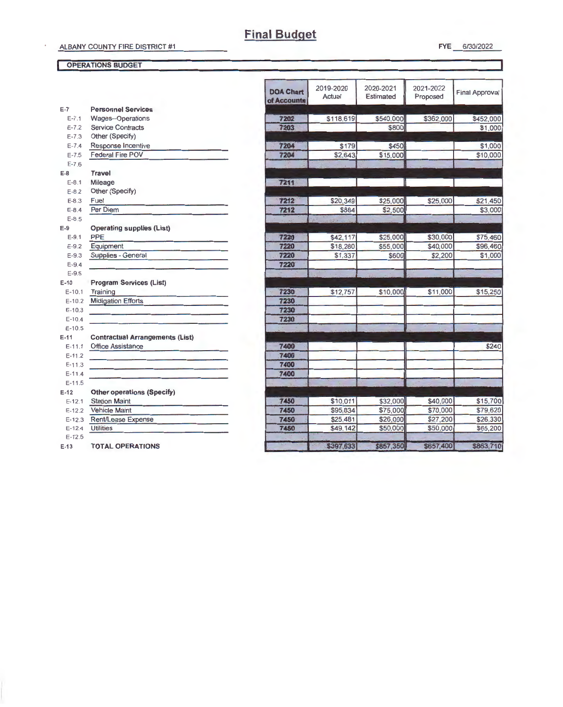#### OPERATIONS BUDGET

| $E-7$<br><b>Personnel Services</b><br>$E - 7.1$<br>Wages--Operations<br>7202<br>\$118,619<br>\$540,000<br>\$362,000<br>7203<br>\$800<br>$E - 7.2$<br><b>Service Contracts</b><br>Other (Specify)<br>$E - 7.3$<br>$E - 7.4$<br>Response Incentive<br>7204<br>\$179<br>\$450<br><b>Federal Fire POV</b><br>$E - 7.5$<br>7204<br>\$2,643<br>\$15,000<br>$E - 7.6$<br><b>Travel</b><br>7211<br>$E - 8.1$<br>Mileage<br>Other (Specify)<br>$E - 8.2$<br>7212<br>\$20,349<br>\$25,000<br>\$25,000<br>$E-8.3$<br>Fuel<br>Per Diem<br>7212<br>\$2,500<br>$E - 8.4$<br>\$884<br>$E-8.5$<br><b>Operating supplies (List)</b><br>PPE<br>7220<br>\$42,117<br>\$25,000<br>\$30,000<br>$E-9.1$<br>Equipment<br>7220<br>\$55,000<br>\$40,000<br>$E-9.2$<br>\$18,280<br>Supplies - General<br>7220<br>\$600<br>\$1,337<br>\$2,200<br>$E - 9.3$<br>7220<br>$E-9.4$<br>$E-9.5$<br><b>Program Services (List)</b><br>7230<br>\$12,757<br>\$10,000<br>\$11,000<br>$E-10.1$<br>Training<br><b>Midigation Efforts</b><br>7230<br>$E-10.2$<br>7230<br>$E - 10.3$<br>7230<br>$E-10.4$<br>$E-10.5$<br><b>Contractual Arrangements (List)</b><br><b>Office Assistance</b><br>7400<br>$E-11.1$<br>7400<br>$E-11.2$<br>7400<br>$E-11.3$<br>7400<br>$E - 11.4$<br>$E-11.5$<br><b>Other operations (Specify)</b><br>\$10,011<br>\$32,000<br>\$40,000<br><b>Station Maint</b><br>7450<br>$E-12.1$<br>7450<br>\$95,834<br>\$75,000<br>\$70,000<br><b>Vehicle Maint</b><br>$E-12.2$<br>7450<br>\$26,000<br>\$27,200<br>Rent/Lease Expense<br>\$25,481<br>$E - 12.3$<br><b>Utilities</b><br>7450<br>\$49,142<br>\$50,000<br>\$50,000<br>$E - 12.4$<br>$E-12.5$<br>\$397,633<br>\$857,350<br>\$657,400<br><b>TOTAL OPERATIONS</b> |  | <b>DOA Chart</b><br>of Accounts | 2019-2020<br>Actual | 2020-2021<br>Estimated | 2021-2022<br>Proposed | <b>Final Approval</b> |
|------------------------------------------------------------------------------------------------------------------------------------------------------------------------------------------------------------------------------------------------------------------------------------------------------------------------------------------------------------------------------------------------------------------------------------------------------------------------------------------------------------------------------------------------------------------------------------------------------------------------------------------------------------------------------------------------------------------------------------------------------------------------------------------------------------------------------------------------------------------------------------------------------------------------------------------------------------------------------------------------------------------------------------------------------------------------------------------------------------------------------------------------------------------------------------------------------------------------------------------------------------------------------------------------------------------------------------------------------------------------------------------------------------------------------------------------------------------------------------------------------------------------------------------------------------------------------------------------------------------------------------------------------------------------------------------------|--|---------------------------------|---------------------|------------------------|-----------------------|-----------------------|
|                                                                                                                                                                                                                                                                                                                                                                                                                                                                                                                                                                                                                                                                                                                                                                                                                                                                                                                                                                                                                                                                                                                                                                                                                                                                                                                                                                                                                                                                                                                                                                                                                                                                                                |  |                                 |                     |                        |                       |                       |
|                                                                                                                                                                                                                                                                                                                                                                                                                                                                                                                                                                                                                                                                                                                                                                                                                                                                                                                                                                                                                                                                                                                                                                                                                                                                                                                                                                                                                                                                                                                                                                                                                                                                                                |  |                                 |                     |                        |                       | \$452,000             |
|                                                                                                                                                                                                                                                                                                                                                                                                                                                                                                                                                                                                                                                                                                                                                                                                                                                                                                                                                                                                                                                                                                                                                                                                                                                                                                                                                                                                                                                                                                                                                                                                                                                                                                |  |                                 |                     |                        |                       | \$1,000               |
|                                                                                                                                                                                                                                                                                                                                                                                                                                                                                                                                                                                                                                                                                                                                                                                                                                                                                                                                                                                                                                                                                                                                                                                                                                                                                                                                                                                                                                                                                                                                                                                                                                                                                                |  |                                 |                     |                        |                       |                       |
| $E-B$<br>$E-9$                                                                                                                                                                                                                                                                                                                                                                                                                                                                                                                                                                                                                                                                                                                                                                                                                                                                                                                                                                                                                                                                                                                                                                                                                                                                                                                                                                                                                                                                                                                                                                                                                                                                                 |  |                                 |                     |                        |                       | \$1,000               |
|                                                                                                                                                                                                                                                                                                                                                                                                                                                                                                                                                                                                                                                                                                                                                                                                                                                                                                                                                                                                                                                                                                                                                                                                                                                                                                                                                                                                                                                                                                                                                                                                                                                                                                |  |                                 |                     |                        |                       | \$10,000              |
|                                                                                                                                                                                                                                                                                                                                                                                                                                                                                                                                                                                                                                                                                                                                                                                                                                                                                                                                                                                                                                                                                                                                                                                                                                                                                                                                                                                                                                                                                                                                                                                                                                                                                                |  |                                 |                     |                        |                       |                       |
|                                                                                                                                                                                                                                                                                                                                                                                                                                                                                                                                                                                                                                                                                                                                                                                                                                                                                                                                                                                                                                                                                                                                                                                                                                                                                                                                                                                                                                                                                                                                                                                                                                                                                                |  |                                 |                     |                        |                       |                       |
|                                                                                                                                                                                                                                                                                                                                                                                                                                                                                                                                                                                                                                                                                                                                                                                                                                                                                                                                                                                                                                                                                                                                                                                                                                                                                                                                                                                                                                                                                                                                                                                                                                                                                                |  |                                 |                     |                        |                       |                       |
|                                                                                                                                                                                                                                                                                                                                                                                                                                                                                                                                                                                                                                                                                                                                                                                                                                                                                                                                                                                                                                                                                                                                                                                                                                                                                                                                                                                                                                                                                                                                                                                                                                                                                                |  |                                 |                     |                        |                       |                       |
|                                                                                                                                                                                                                                                                                                                                                                                                                                                                                                                                                                                                                                                                                                                                                                                                                                                                                                                                                                                                                                                                                                                                                                                                                                                                                                                                                                                                                                                                                                                                                                                                                                                                                                |  |                                 |                     |                        |                       | \$21,450              |
|                                                                                                                                                                                                                                                                                                                                                                                                                                                                                                                                                                                                                                                                                                                                                                                                                                                                                                                                                                                                                                                                                                                                                                                                                                                                                                                                                                                                                                                                                                                                                                                                                                                                                                |  |                                 |                     |                        |                       | \$3,000               |
|                                                                                                                                                                                                                                                                                                                                                                                                                                                                                                                                                                                                                                                                                                                                                                                                                                                                                                                                                                                                                                                                                                                                                                                                                                                                                                                                                                                                                                                                                                                                                                                                                                                                                                |  |                                 |                     |                        |                       |                       |
|                                                                                                                                                                                                                                                                                                                                                                                                                                                                                                                                                                                                                                                                                                                                                                                                                                                                                                                                                                                                                                                                                                                                                                                                                                                                                                                                                                                                                                                                                                                                                                                                                                                                                                |  |                                 |                     |                        |                       |                       |
|                                                                                                                                                                                                                                                                                                                                                                                                                                                                                                                                                                                                                                                                                                                                                                                                                                                                                                                                                                                                                                                                                                                                                                                                                                                                                                                                                                                                                                                                                                                                                                                                                                                                                                |  |                                 |                     |                        |                       | \$75,460              |
| E-10<br>E-11<br>$E-12$<br>E-13                                                                                                                                                                                                                                                                                                                                                                                                                                                                                                                                                                                                                                                                                                                                                                                                                                                                                                                                                                                                                                                                                                                                                                                                                                                                                                                                                                                                                                                                                                                                                                                                                                                                 |  |                                 |                     |                        |                       | \$96,460              |
|                                                                                                                                                                                                                                                                                                                                                                                                                                                                                                                                                                                                                                                                                                                                                                                                                                                                                                                                                                                                                                                                                                                                                                                                                                                                                                                                                                                                                                                                                                                                                                                                                                                                                                |  |                                 |                     |                        |                       | \$1,000               |
|                                                                                                                                                                                                                                                                                                                                                                                                                                                                                                                                                                                                                                                                                                                                                                                                                                                                                                                                                                                                                                                                                                                                                                                                                                                                                                                                                                                                                                                                                                                                                                                                                                                                                                |  |                                 |                     |                        |                       |                       |
|                                                                                                                                                                                                                                                                                                                                                                                                                                                                                                                                                                                                                                                                                                                                                                                                                                                                                                                                                                                                                                                                                                                                                                                                                                                                                                                                                                                                                                                                                                                                                                                                                                                                                                |  |                                 |                     |                        |                       |                       |
|                                                                                                                                                                                                                                                                                                                                                                                                                                                                                                                                                                                                                                                                                                                                                                                                                                                                                                                                                                                                                                                                                                                                                                                                                                                                                                                                                                                                                                                                                                                                                                                                                                                                                                |  |                                 |                     |                        |                       |                       |
|                                                                                                                                                                                                                                                                                                                                                                                                                                                                                                                                                                                                                                                                                                                                                                                                                                                                                                                                                                                                                                                                                                                                                                                                                                                                                                                                                                                                                                                                                                                                                                                                                                                                                                |  |                                 |                     |                        |                       | \$15,250              |
|                                                                                                                                                                                                                                                                                                                                                                                                                                                                                                                                                                                                                                                                                                                                                                                                                                                                                                                                                                                                                                                                                                                                                                                                                                                                                                                                                                                                                                                                                                                                                                                                                                                                                                |  |                                 |                     |                        |                       |                       |
|                                                                                                                                                                                                                                                                                                                                                                                                                                                                                                                                                                                                                                                                                                                                                                                                                                                                                                                                                                                                                                                                                                                                                                                                                                                                                                                                                                                                                                                                                                                                                                                                                                                                                                |  |                                 |                     |                        |                       |                       |
|                                                                                                                                                                                                                                                                                                                                                                                                                                                                                                                                                                                                                                                                                                                                                                                                                                                                                                                                                                                                                                                                                                                                                                                                                                                                                                                                                                                                                                                                                                                                                                                                                                                                                                |  |                                 |                     |                        |                       |                       |
|                                                                                                                                                                                                                                                                                                                                                                                                                                                                                                                                                                                                                                                                                                                                                                                                                                                                                                                                                                                                                                                                                                                                                                                                                                                                                                                                                                                                                                                                                                                                                                                                                                                                                                |  |                                 |                     |                        |                       |                       |
|                                                                                                                                                                                                                                                                                                                                                                                                                                                                                                                                                                                                                                                                                                                                                                                                                                                                                                                                                                                                                                                                                                                                                                                                                                                                                                                                                                                                                                                                                                                                                                                                                                                                                                |  |                                 |                     |                        |                       |                       |
|                                                                                                                                                                                                                                                                                                                                                                                                                                                                                                                                                                                                                                                                                                                                                                                                                                                                                                                                                                                                                                                                                                                                                                                                                                                                                                                                                                                                                                                                                                                                                                                                                                                                                                |  |                                 |                     |                        |                       | \$240                 |
|                                                                                                                                                                                                                                                                                                                                                                                                                                                                                                                                                                                                                                                                                                                                                                                                                                                                                                                                                                                                                                                                                                                                                                                                                                                                                                                                                                                                                                                                                                                                                                                                                                                                                                |  |                                 |                     |                        |                       |                       |
|                                                                                                                                                                                                                                                                                                                                                                                                                                                                                                                                                                                                                                                                                                                                                                                                                                                                                                                                                                                                                                                                                                                                                                                                                                                                                                                                                                                                                                                                                                                                                                                                                                                                                                |  |                                 |                     |                        |                       |                       |
|                                                                                                                                                                                                                                                                                                                                                                                                                                                                                                                                                                                                                                                                                                                                                                                                                                                                                                                                                                                                                                                                                                                                                                                                                                                                                                                                                                                                                                                                                                                                                                                                                                                                                                |  |                                 |                     |                        |                       |                       |
|                                                                                                                                                                                                                                                                                                                                                                                                                                                                                                                                                                                                                                                                                                                                                                                                                                                                                                                                                                                                                                                                                                                                                                                                                                                                                                                                                                                                                                                                                                                                                                                                                                                                                                |  |                                 |                     |                        |                       |                       |
|                                                                                                                                                                                                                                                                                                                                                                                                                                                                                                                                                                                                                                                                                                                                                                                                                                                                                                                                                                                                                                                                                                                                                                                                                                                                                                                                                                                                                                                                                                                                                                                                                                                                                                |  |                                 |                     |                        |                       |                       |
|                                                                                                                                                                                                                                                                                                                                                                                                                                                                                                                                                                                                                                                                                                                                                                                                                                                                                                                                                                                                                                                                                                                                                                                                                                                                                                                                                                                                                                                                                                                                                                                                                                                                                                |  |                                 |                     |                        |                       | \$15,700              |
|                                                                                                                                                                                                                                                                                                                                                                                                                                                                                                                                                                                                                                                                                                                                                                                                                                                                                                                                                                                                                                                                                                                                                                                                                                                                                                                                                                                                                                                                                                                                                                                                                                                                                                |  |                                 |                     |                        |                       | \$79,620              |
|                                                                                                                                                                                                                                                                                                                                                                                                                                                                                                                                                                                                                                                                                                                                                                                                                                                                                                                                                                                                                                                                                                                                                                                                                                                                                                                                                                                                                                                                                                                                                                                                                                                                                                |  |                                 |                     |                        |                       | \$26,330              |
|                                                                                                                                                                                                                                                                                                                                                                                                                                                                                                                                                                                                                                                                                                                                                                                                                                                                                                                                                                                                                                                                                                                                                                                                                                                                                                                                                                                                                                                                                                                                                                                                                                                                                                |  |                                 |                     |                        |                       | \$65,200              |
|                                                                                                                                                                                                                                                                                                                                                                                                                                                                                                                                                                                                                                                                                                                                                                                                                                                                                                                                                                                                                                                                                                                                                                                                                                                                                                                                                                                                                                                                                                                                                                                                                                                                                                |  |                                 |                     |                        |                       |                       |
|                                                                                                                                                                                                                                                                                                                                                                                                                                                                                                                                                                                                                                                                                                                                                                                                                                                                                                                                                                                                                                                                                                                                                                                                                                                                                                                                                                                                                                                                                                                                                                                                                                                                                                |  |                                 |                     |                        |                       | \$863,710             |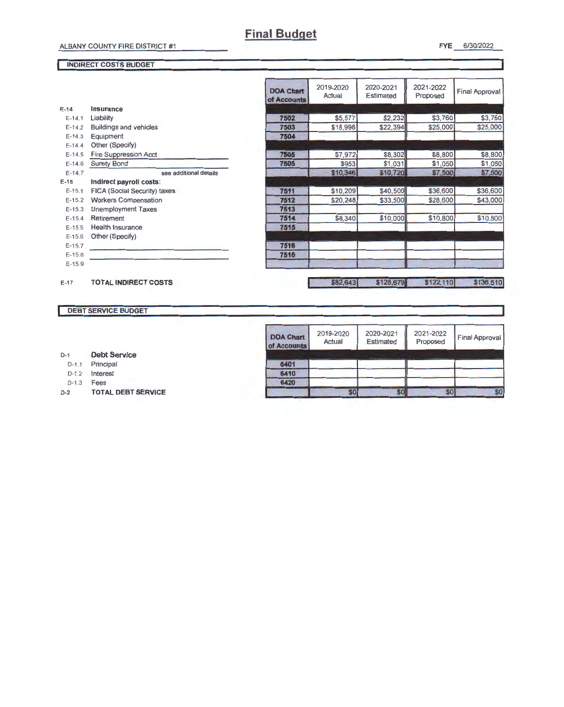FYE 6/30/2022

#### INDIRECT COSTS BUDGET

|            |                                     | <b>DOA Chart</b><br>of Accounts | 2019-2020<br>Actual | 2020-2021<br><b>Estimated</b> | 2021-2022<br>Proposed | <b>Final Approval</b> |
|------------|-------------------------------------|---------------------------------|---------------------|-------------------------------|-----------------------|-----------------------|
| $E-14$     | Insurance                           |                                 |                     |                               |                       |                       |
| $E-14.1$   | Liability                           | 7502                            | \$5,577             | \$2,232                       | \$3,760               | \$3,760               |
| $E-14.2$   | <b>Buildings and vehicles</b>       | 7503                            | \$18,998            | \$22,394                      | \$25,000              | \$25,000              |
| $E-14.3$   | Equipment                           | 7504                            |                     |                               |                       |                       |
| $E-14.4$   | Other (Specify)                     |                                 |                     |                               |                       |                       |
| $E-14.5$   | <b>Fire Suppression Acct</b>        | 7505                            | \$7,972             | \$8,302                       | \$8,800               | \$8,800               |
| $E-14.6$   | <b>Surety Bond</b>                  | 7505                            | \$953               | \$1,031                       | \$1,050               | \$1,050               |
| $E-14.7$   | see additional details              |                                 | \$10,346            | \$10,720                      | \$7,500               | \$7,500               |
| $E-15$     | Indirect payroll costs:             |                                 |                     |                               |                       |                       |
| $E-15.1$   | <b>FICA (Social Security) taxes</b> | 7511                            | \$10,209            | \$40,500                      | \$36,600              | \$36,600              |
| $E-15.2$   | <b>Workers Compensation</b>         | 7512                            | \$20,248            | \$33,500                      | \$28,600              | \$43,000              |
| $E-15.3$   | <b>Unemployment Taxes</b>           | 7513                            |                     |                               |                       |                       |
| $E-15.4$   | Retirement                          | 7514                            | \$8,340             | \$10,000                      | \$10,800              | \$10,800              |
| $E-15.5$   | <b>Health Insurance</b>             | 7515                            |                     |                               |                       |                       |
| $E-15.6$   | Other (Specify)                     |                                 |                     |                               |                       |                       |
| $E-15.7$   |                                     | 7516                            |                     |                               |                       |                       |
| $E - 15.8$ |                                     | 7516                            |                     |                               |                       |                       |
| $E-15.9$   |                                     |                                 |                     |                               |                       |                       |
| $E-17$     | <b>TOTAL INDIRECT COSTS</b>         |                                 | \$82,643            | \$128,679                     | \$122,110             | \$136,510             |

#### DEBT SERVICE BUDGET

| <b>DOA Chart</b><br>of Accounts | 2019-2020<br>Actual | 2020-2021<br>Estimated | 2021-2022<br>Proposed | <b>Final Approval</b> |
|---------------------------------|---------------------|------------------------|-----------------------|-----------------------|
| 6401                            |                     |                        |                       |                       |
| 6410                            |                     |                        |                       |                       |
| 6420                            |                     |                        |                       |                       |
|                                 |                     |                        |                       |                       |

| $D-1$ | <b>Debt Service</b> |
|-------|---------------------|

- D-1.1 Principal
- D-1.2 Interest
- D-1.3 **Fees**
- D-2 TOTAL DEBT SERVICE